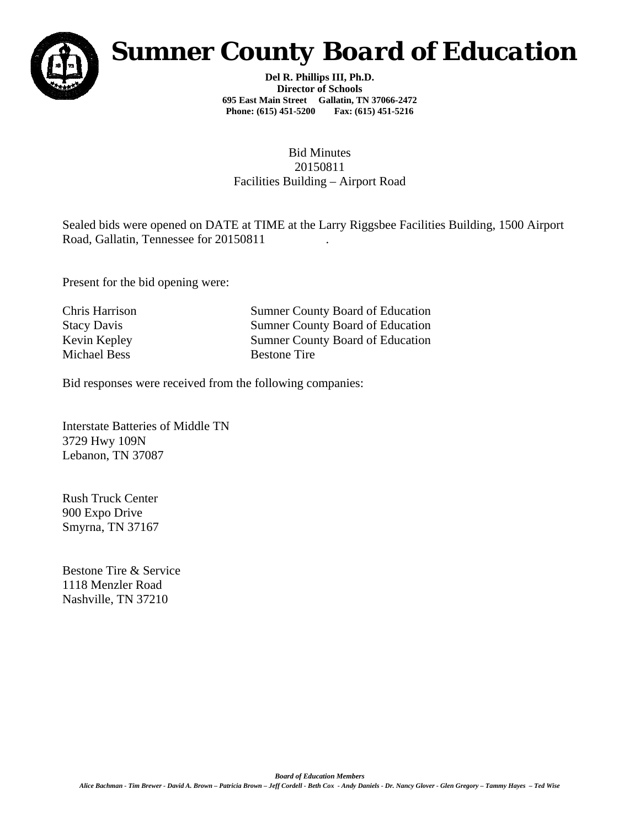

## *Sumner County Board of Education*

**Del R. Phillips III, Ph.D. Director of Schools 695 East Main Street Gallatin, TN 37066-2472 Phone: (615) 451-5200 Fax: (615) 451-5216** 

## Bid Minutes 20150811 Facilities Building – Airport Road

Sealed bids were opened on DATE at TIME at the Larry Riggsbee Facilities Building, 1500 Airport Road, Gallatin, Tennessee for 20150811

Present for the bid opening were:

Michael Bess Bestone Tire

Chris Harrison Sumner County Board of Education Stacy Davis Sumner County Board of Education Kevin Kepley Sumner County Board of Education

Bid responses were received from the following companies:

Interstate Batteries of Middle TN 3729 Hwy 109N Lebanon, TN 37087

Rush Truck Center 900 Expo Drive Smyrna, TN 37167

Bestone Tire & Service 1118 Menzler Road Nashville, TN 37210